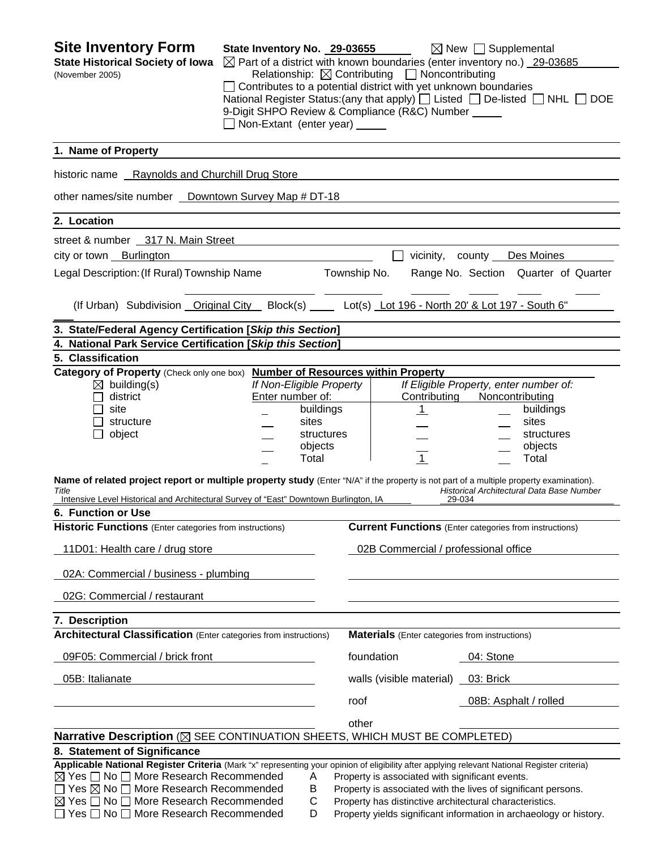| <b>Site Inventory Form</b><br><b>State Historical Society of Iowa</b><br>(November 2005)                                                                                                                                                                                                                                                                                                         | State Inventory No. 29-03655<br>$\boxtimes$ Part of a district with known boundaries (enter inventory no.) 29-03685<br>$\Box$ Contributes to a potential district with yet unknown boundaries<br>National Register Status: (any that apply) $\Box$ Listed $\Box$ De-listed $\Box$ NHL $\Box$ DOE<br>9-Digit SHPO Review & Compliance (R&C) Number _____<br>Non-Extant (enter year) _____ | Relationship: $\boxtimes$ Contributing $\Box$ Noncontributing                                                                                                                                                                                     |                                                                                                 | $\boxtimes$ New $\Box$ Supplemental |                                                                                                                      |  |
|--------------------------------------------------------------------------------------------------------------------------------------------------------------------------------------------------------------------------------------------------------------------------------------------------------------------------------------------------------------------------------------------------|------------------------------------------------------------------------------------------------------------------------------------------------------------------------------------------------------------------------------------------------------------------------------------------------------------------------------------------------------------------------------------------|---------------------------------------------------------------------------------------------------------------------------------------------------------------------------------------------------------------------------------------------------|-------------------------------------------------------------------------------------------------|-------------------------------------|----------------------------------------------------------------------------------------------------------------------|--|
| 1. Name of Property                                                                                                                                                                                                                                                                                                                                                                              |                                                                                                                                                                                                                                                                                                                                                                                          |                                                                                                                                                                                                                                                   |                                                                                                 |                                     |                                                                                                                      |  |
| historic name Raynolds and Churchill Drug Store                                                                                                                                                                                                                                                                                                                                                  |                                                                                                                                                                                                                                                                                                                                                                                          |                                                                                                                                                                                                                                                   |                                                                                                 |                                     |                                                                                                                      |  |
| other names/site number _ Downtown Survey Map # DT-18                                                                                                                                                                                                                                                                                                                                            |                                                                                                                                                                                                                                                                                                                                                                                          |                                                                                                                                                                                                                                                   |                                                                                                 |                                     |                                                                                                                      |  |
| 2. Location                                                                                                                                                                                                                                                                                                                                                                                      |                                                                                                                                                                                                                                                                                                                                                                                          |                                                                                                                                                                                                                                                   |                                                                                                 |                                     |                                                                                                                      |  |
| street & number 317 N. Main Street                                                                                                                                                                                                                                                                                                                                                               |                                                                                                                                                                                                                                                                                                                                                                                          |                                                                                                                                                                                                                                                   |                                                                                                 |                                     |                                                                                                                      |  |
| city or town Burlington                                                                                                                                                                                                                                                                                                                                                                          |                                                                                                                                                                                                                                                                                                                                                                                          |                                                                                                                                                                                                                                                   | vicinity,                                                                                       | county                              | Des Moines                                                                                                           |  |
| Legal Description: (If Rural) Township Name                                                                                                                                                                                                                                                                                                                                                      |                                                                                                                                                                                                                                                                                                                                                                                          | Township No.                                                                                                                                                                                                                                      |                                                                                                 |                                     | Range No. Section Quarter of Quarter                                                                                 |  |
|                                                                                                                                                                                                                                                                                                                                                                                                  |                                                                                                                                                                                                                                                                                                                                                                                          |                                                                                                                                                                                                                                                   |                                                                                                 |                                     |                                                                                                                      |  |
| (If Urban) Subdivision Original City Block(s) Lot(s) Lot 196 - North 20' & Lot 197 - South 6"                                                                                                                                                                                                                                                                                                    |                                                                                                                                                                                                                                                                                                                                                                                          |                                                                                                                                                                                                                                                   |                                                                                                 |                                     |                                                                                                                      |  |
| 3. State/Federal Agency Certification [Skip this Section]                                                                                                                                                                                                                                                                                                                                        |                                                                                                                                                                                                                                                                                                                                                                                          |                                                                                                                                                                                                                                                   |                                                                                                 |                                     |                                                                                                                      |  |
| 4. National Park Service Certification [Skip this Section]                                                                                                                                                                                                                                                                                                                                       |                                                                                                                                                                                                                                                                                                                                                                                          |                                                                                                                                                                                                                                                   |                                                                                                 |                                     |                                                                                                                      |  |
| 5. Classification                                                                                                                                                                                                                                                                                                                                                                                |                                                                                                                                                                                                                                                                                                                                                                                          |                                                                                                                                                                                                                                                   |                                                                                                 |                                     |                                                                                                                      |  |
| Category of Property (Check only one box) Number of Resources within Property<br>$\boxtimes$ building(s)<br>district<br>site<br>structure<br>object<br>Name of related project report or multiple property study (Enter "N/A" if the property is not part of a multiple property examination).<br>Title<br>Intensive Level Historical and Architectural Survey of "East" Downtown Burlington, IA | If Non-Eligible Property<br>Enter number of:<br>buildings<br>sites<br>structures<br>objects<br>Total                                                                                                                                                                                                                                                                                     |                                                                                                                                                                                                                                                   | If Eligible Property, enter number of:<br>Contributing<br><u>_1</u><br>$\overline{1}$<br>29-034 |                                     | Noncontributing<br>buildings<br>sites<br>structures<br>objects<br>Total<br>Historical Architectural Data Base Number |  |
| 6. Function or Use                                                                                                                                                                                                                                                                                                                                                                               |                                                                                                                                                                                                                                                                                                                                                                                          |                                                                                                                                                                                                                                                   |                                                                                                 |                                     |                                                                                                                      |  |
| <b>Historic Functions</b> (Enter categories from instructions)                                                                                                                                                                                                                                                                                                                                   |                                                                                                                                                                                                                                                                                                                                                                                          |                                                                                                                                                                                                                                                   | <b>Current Functions</b> (Enter categories from instructions)                                   |                                     |                                                                                                                      |  |
| 11D01: Health care / drug store                                                                                                                                                                                                                                                                                                                                                                  |                                                                                                                                                                                                                                                                                                                                                                                          |                                                                                                                                                                                                                                                   | 02B Commercial / professional office                                                            |                                     |                                                                                                                      |  |
| 02A: Commercial / business - plumbing                                                                                                                                                                                                                                                                                                                                                            |                                                                                                                                                                                                                                                                                                                                                                                          |                                                                                                                                                                                                                                                   |                                                                                                 |                                     |                                                                                                                      |  |
| 02G: Commercial / restaurant                                                                                                                                                                                                                                                                                                                                                                     |                                                                                                                                                                                                                                                                                                                                                                                          |                                                                                                                                                                                                                                                   |                                                                                                 |                                     |                                                                                                                      |  |
| 7. Description                                                                                                                                                                                                                                                                                                                                                                                   |                                                                                                                                                                                                                                                                                                                                                                                          |                                                                                                                                                                                                                                                   |                                                                                                 |                                     |                                                                                                                      |  |
| <b>Architectural Classification</b> (Enter categories from instructions)                                                                                                                                                                                                                                                                                                                         |                                                                                                                                                                                                                                                                                                                                                                                          |                                                                                                                                                                                                                                                   | <b>Materials</b> (Enter categories from instructions)                                           |                                     |                                                                                                                      |  |
| 09F05: Commercial / brick front                                                                                                                                                                                                                                                                                                                                                                  |                                                                                                                                                                                                                                                                                                                                                                                          | foundation                                                                                                                                                                                                                                        |                                                                                                 | 04: Stone                           |                                                                                                                      |  |
| 05B: Italianate                                                                                                                                                                                                                                                                                                                                                                                  |                                                                                                                                                                                                                                                                                                                                                                                          |                                                                                                                                                                                                                                                   | walls (visible material) _03: Brick                                                             |                                     |                                                                                                                      |  |
|                                                                                                                                                                                                                                                                                                                                                                                                  |                                                                                                                                                                                                                                                                                                                                                                                          | roof                                                                                                                                                                                                                                              |                                                                                                 |                                     | 08B: Asphalt / rolled                                                                                                |  |
|                                                                                                                                                                                                                                                                                                                                                                                                  |                                                                                                                                                                                                                                                                                                                                                                                          | other                                                                                                                                                                                                                                             |                                                                                                 |                                     |                                                                                                                      |  |
| Narrative Description ( $\boxtimes$ SEE CONTINUATION SHEETS, WHICH MUST BE COMPLETED)                                                                                                                                                                                                                                                                                                            |                                                                                                                                                                                                                                                                                                                                                                                          |                                                                                                                                                                                                                                                   |                                                                                                 |                                     |                                                                                                                      |  |
| 8. Statement of Significance                                                                                                                                                                                                                                                                                                                                                                     |                                                                                                                                                                                                                                                                                                                                                                                          |                                                                                                                                                                                                                                                   |                                                                                                 |                                     |                                                                                                                      |  |
| Applicable National Register Criteria (Mark "x" representing your opinion of eligibility after applying relevant National Register criteria)<br>$\boxtimes$ Yes $\Box$ No $\Box$ More Research Recommended<br>$\Box$ Yes $\boxtimes$ No $\Box$ More Research Recommended<br>$\boxtimes$ Yes $\Box$ No $\Box$ More Research Recommended<br>$\Box$ Yes $\Box$ No $\Box$ More Research Recommended  | Α<br>B<br>$\mathsf C$<br>D                                                                                                                                                                                                                                                                                                                                                               | Property is associated with significant events.<br>Property is associated with the lives of significant persons.<br>Property has distinctive architectural characteristics.<br>Property yields significant information in archaeology or history. |                                                                                                 |                                     |                                                                                                                      |  |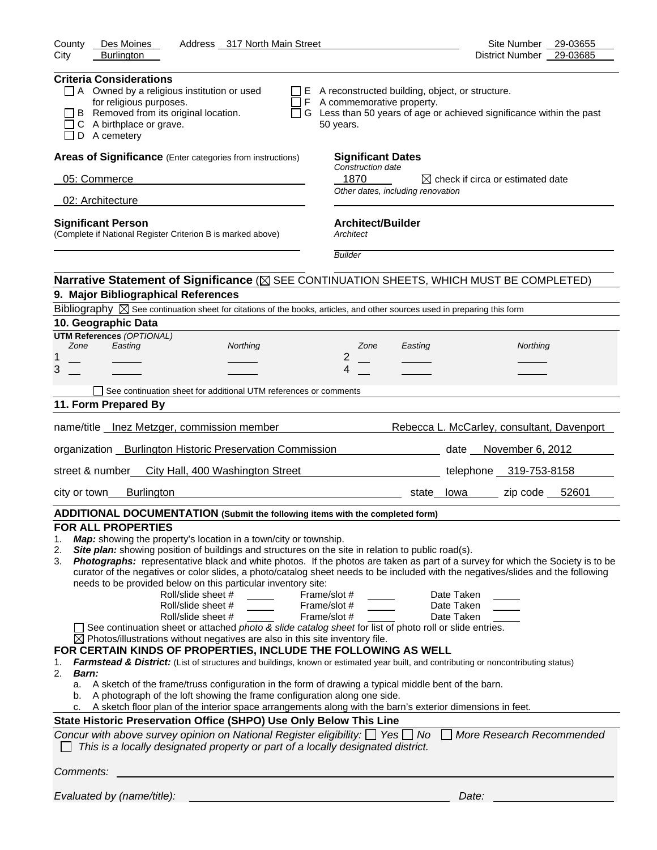| Des Moines<br>Address 317 North Main Street<br>County                                                                                                                                                                                                                                                                                                                                                                                                                                                                                                                                                                                                                                                                                                                                                                                                                                                                                                                                                                                                                                                                                                                                                                                                                                                                                                                                                                                                                                                                                                                                                                                                                                                                                      | 29-03655<br>Site Number                      |
|--------------------------------------------------------------------------------------------------------------------------------------------------------------------------------------------------------------------------------------------------------------------------------------------------------------------------------------------------------------------------------------------------------------------------------------------------------------------------------------------------------------------------------------------------------------------------------------------------------------------------------------------------------------------------------------------------------------------------------------------------------------------------------------------------------------------------------------------------------------------------------------------------------------------------------------------------------------------------------------------------------------------------------------------------------------------------------------------------------------------------------------------------------------------------------------------------------------------------------------------------------------------------------------------------------------------------------------------------------------------------------------------------------------------------------------------------------------------------------------------------------------------------------------------------------------------------------------------------------------------------------------------------------------------------------------------------------------------------------------------|----------------------------------------------|
| <b>Burlington</b><br>City                                                                                                                                                                                                                                                                                                                                                                                                                                                                                                                                                                                                                                                                                                                                                                                                                                                                                                                                                                                                                                                                                                                                                                                                                                                                                                                                                                                                                                                                                                                                                                                                                                                                                                                  | District Number<br>29-03685                  |
| <b>Criteria Considerations</b><br>$\Box$ A Owned by a religious institution or used<br>$\Box$ E A reconstructed building, object, or structure.<br>F A commemorative property.<br>for religious purposes.<br>□ G Less than 50 years of age or achieved significance within the past<br>B Removed from its original location.<br>C A birthplace or grave.<br>50 years.<br>D A cemetery                                                                                                                                                                                                                                                                                                                                                                                                                                                                                                                                                                                                                                                                                                                                                                                                                                                                                                                                                                                                                                                                                                                                                                                                                                                                                                                                                      |                                              |
| Areas of Significance (Enter categories from instructions)<br><b>Significant Dates</b>                                                                                                                                                                                                                                                                                                                                                                                                                                                                                                                                                                                                                                                                                                                                                                                                                                                                                                                                                                                                                                                                                                                                                                                                                                                                                                                                                                                                                                                                                                                                                                                                                                                     |                                              |
| Construction date<br>1870<br>05: Commerce                                                                                                                                                                                                                                                                                                                                                                                                                                                                                                                                                                                                                                                                                                                                                                                                                                                                                                                                                                                                                                                                                                                                                                                                                                                                                                                                                                                                                                                                                                                                                                                                                                                                                                  | $\boxtimes$ check if circa or estimated date |
| Other dates, including renovation<br>02: Architecture                                                                                                                                                                                                                                                                                                                                                                                                                                                                                                                                                                                                                                                                                                                                                                                                                                                                                                                                                                                                                                                                                                                                                                                                                                                                                                                                                                                                                                                                                                                                                                                                                                                                                      |                                              |
|                                                                                                                                                                                                                                                                                                                                                                                                                                                                                                                                                                                                                                                                                                                                                                                                                                                                                                                                                                                                                                                                                                                                                                                                                                                                                                                                                                                                                                                                                                                                                                                                                                                                                                                                            |                                              |
| <b>Significant Person</b><br><b>Architect/Builder</b><br>(Complete if National Register Criterion B is marked above)<br>Architect                                                                                                                                                                                                                                                                                                                                                                                                                                                                                                                                                                                                                                                                                                                                                                                                                                                                                                                                                                                                                                                                                                                                                                                                                                                                                                                                                                                                                                                                                                                                                                                                          |                                              |
| <b>Builder</b>                                                                                                                                                                                                                                                                                                                                                                                                                                                                                                                                                                                                                                                                                                                                                                                                                                                                                                                                                                                                                                                                                                                                                                                                                                                                                                                                                                                                                                                                                                                                                                                                                                                                                                                             |                                              |
| Narrative Statement of Significance ( $\boxtimes$ SEE CONTINUATION SHEETS, WHICH MUST BE COMPLETED)                                                                                                                                                                                                                                                                                                                                                                                                                                                                                                                                                                                                                                                                                                                                                                                                                                                                                                                                                                                                                                                                                                                                                                                                                                                                                                                                                                                                                                                                                                                                                                                                                                        |                                              |
| 9. Major Bibliographical References                                                                                                                                                                                                                                                                                                                                                                                                                                                                                                                                                                                                                                                                                                                                                                                                                                                                                                                                                                                                                                                                                                                                                                                                                                                                                                                                                                                                                                                                                                                                                                                                                                                                                                        |                                              |
| Bibliography $\boxtimes$ See continuation sheet for citations of the books, articles, and other sources used in preparing this form                                                                                                                                                                                                                                                                                                                                                                                                                                                                                                                                                                                                                                                                                                                                                                                                                                                                                                                                                                                                                                                                                                                                                                                                                                                                                                                                                                                                                                                                                                                                                                                                        |                                              |
| 10. Geographic Data<br><b>UTM References (OPTIONAL)</b>                                                                                                                                                                                                                                                                                                                                                                                                                                                                                                                                                                                                                                                                                                                                                                                                                                                                                                                                                                                                                                                                                                                                                                                                                                                                                                                                                                                                                                                                                                                                                                                                                                                                                    |                                              |
| Zone<br>Easting<br>Northing<br>Zone<br>Easting                                                                                                                                                                                                                                                                                                                                                                                                                                                                                                                                                                                                                                                                                                                                                                                                                                                                                                                                                                                                                                                                                                                                                                                                                                                                                                                                                                                                                                                                                                                                                                                                                                                                                             | Northing                                     |
| 2<br>1                                                                                                                                                                                                                                                                                                                                                                                                                                                                                                                                                                                                                                                                                                                                                                                                                                                                                                                                                                                                                                                                                                                                                                                                                                                                                                                                                                                                                                                                                                                                                                                                                                                                                                                                     |                                              |
| 3<br>4                                                                                                                                                                                                                                                                                                                                                                                                                                                                                                                                                                                                                                                                                                                                                                                                                                                                                                                                                                                                                                                                                                                                                                                                                                                                                                                                                                                                                                                                                                                                                                                                                                                                                                                                     |                                              |
| See continuation sheet for additional UTM references or comments                                                                                                                                                                                                                                                                                                                                                                                                                                                                                                                                                                                                                                                                                                                                                                                                                                                                                                                                                                                                                                                                                                                                                                                                                                                                                                                                                                                                                                                                                                                                                                                                                                                                           |                                              |
| 11. Form Prepared By                                                                                                                                                                                                                                                                                                                                                                                                                                                                                                                                                                                                                                                                                                                                                                                                                                                                                                                                                                                                                                                                                                                                                                                                                                                                                                                                                                                                                                                                                                                                                                                                                                                                                                                       |                                              |
| name/title __ Inez Metzger, commission member                                                                                                                                                                                                                                                                                                                                                                                                                                                                                                                                                                                                                                                                                                                                                                                                                                                                                                                                                                                                                                                                                                                                                                                                                                                                                                                                                                                                                                                                                                                                                                                                                                                                                              | Rebecca L. McCarley, consultant, Davenport   |
| organization __ Burlington Historic Preservation Commission                                                                                                                                                                                                                                                                                                                                                                                                                                                                                                                                                                                                                                                                                                                                                                                                                                                                                                                                                                                                                                                                                                                                                                                                                                                                                                                                                                                                                                                                                                                                                                                                                                                                                | date November 6, 2012                        |
| street & number_ City Hall, 400 Washington Street                                                                                                                                                                                                                                                                                                                                                                                                                                                                                                                                                                                                                                                                                                                                                                                                                                                                                                                                                                                                                                                                                                                                                                                                                                                                                                                                                                                                                                                                                                                                                                                                                                                                                          | telephone 319-753-8158                       |
| <b>Burlington</b><br>city or town<br>Iowa<br>state                                                                                                                                                                                                                                                                                                                                                                                                                                                                                                                                                                                                                                                                                                                                                                                                                                                                                                                                                                                                                                                                                                                                                                                                                                                                                                                                                                                                                                                                                                                                                                                                                                                                                         | zip code 52601                               |
| ADDITIONAL DOCUMENTATION (Submit the following items with the completed form)                                                                                                                                                                                                                                                                                                                                                                                                                                                                                                                                                                                                                                                                                                                                                                                                                                                                                                                                                                                                                                                                                                                                                                                                                                                                                                                                                                                                                                                                                                                                                                                                                                                              |                                              |
| <b>FOR ALL PROPERTIES</b><br>Map: showing the property's location in a town/city or township.<br>1.<br>Site plan: showing position of buildings and structures on the site in relation to public road(s).<br>2.<br>Photographs: representative black and white photos. If the photos are taken as part of a survey for which the Society is to be<br>3.<br>curator of the negatives or color slides, a photo/catalog sheet needs to be included with the negatives/slides and the following<br>needs to be provided below on this particular inventory site:<br>Roll/slide sheet #<br>Date Taken<br>Frame/slot #<br>Roll/slide sheet #<br>Frame/slot #<br>Date Taken<br>Roll/slide sheet #<br>Frame/slot #<br>Date Taken<br>See continuation sheet or attached photo & slide catalog sheet for list of photo roll or slide entries.<br>$\boxtimes$ Photos/illustrations without negatives are also in this site inventory file.<br>FOR CERTAIN KINDS OF PROPERTIES, INCLUDE THE FOLLOWING AS WELL<br>Farmstead & District: (List of structures and buildings, known or estimated year built, and contributing or noncontributing status)<br>1.<br>2.<br><b>Barn:</b><br>A sketch of the frame/truss configuration in the form of drawing a typical middle bent of the barn.<br>a.<br>A photograph of the loft showing the frame configuration along one side.<br>b.<br>A sketch floor plan of the interior space arrangements along with the barn's exterior dimensions in feet.<br>c.<br>State Historic Preservation Office (SHPO) Use Only Below This Line<br>Concur with above survey opinion on National Register eligibility: $\Box$ Yes $\Box$ No<br>This is a locally designated property or part of a locally designated district. | More Research Recommended                    |
| Comments:                                                                                                                                                                                                                                                                                                                                                                                                                                                                                                                                                                                                                                                                                                                                                                                                                                                                                                                                                                                                                                                                                                                                                                                                                                                                                                                                                                                                                                                                                                                                                                                                                                                                                                                                  |                                              |
| Evaluated by (name/title):                                                                                                                                                                                                                                                                                                                                                                                                                                                                                                                                                                                                                                                                                                                                                                                                                                                                                                                                                                                                                                                                                                                                                                                                                                                                                                                                                                                                                                                                                                                                                                                                                                                                                                                 | Date:                                        |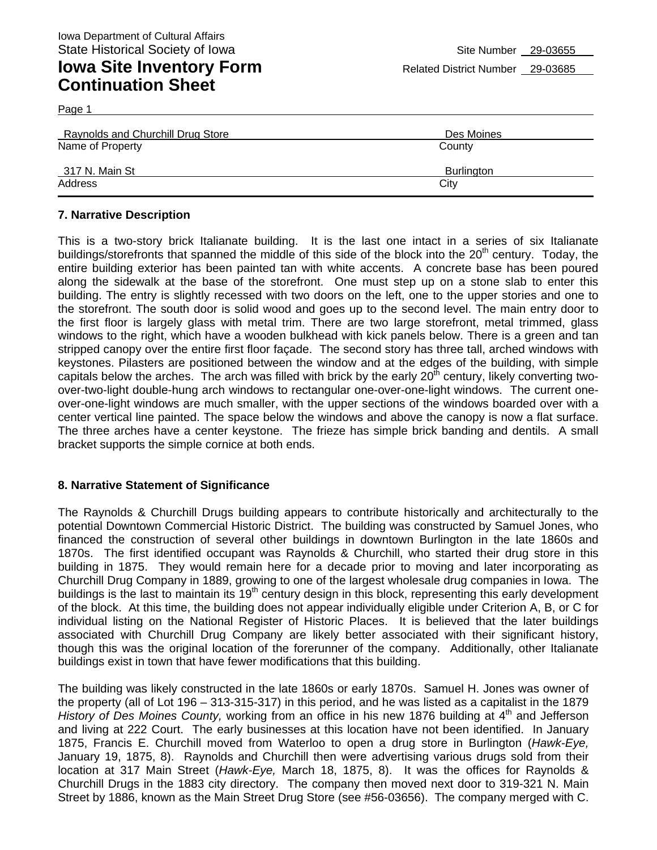Page 1

| <b>Raynolds and Churchill Drug Store</b> | Des Moines |
|------------------------------------------|------------|
| Name of Property                         | County     |
| 317 N. Main St                           | Burlington |
| Address                                  | City       |

#### **7. Narrative Description**

This is a two-story brick Italianate building. It is the last one intact in a series of six Italianate buildings/storefronts that spanned the middle of this side of the block into the 20<sup>th</sup> century. Today, the entire building exterior has been painted tan with white accents. A concrete base has been poured along the sidewalk at the base of the storefront. One must step up on a stone slab to enter this building. The entry is slightly recessed with two doors on the left, one to the upper stories and one to the storefront. The south door is solid wood and goes up to the second level. The main entry door to the first floor is largely glass with metal trim. There are two large storefront, metal trimmed, glass windows to the right, which have a wooden bulkhead with kick panels below. There is a green and tan stripped canopy over the entire first floor façade. The second story has three tall, arched windows with keystones. Pilasters are positioned between the window and at the edges of the building, with simple capitals below the arches. The arch was filled with brick by the early  $20<sup>th</sup>$  century, likely converting twoover-two-light double-hung arch windows to rectangular one-over-one-light windows. The current oneover-one-light windows are much smaller, with the upper sections of the windows boarded over with a center vertical line painted. The space below the windows and above the canopy is now a flat surface. The three arches have a center keystone. The frieze has simple brick banding and dentils. A small bracket supports the simple cornice at both ends.

#### **8. Narrative Statement of Significance**

The Raynolds & Churchill Drugs building appears to contribute historically and architecturally to the potential Downtown Commercial Historic District. The building was constructed by Samuel Jones, who financed the construction of several other buildings in downtown Burlington in the late 1860s and 1870s. The first identified occupant was Raynolds & Churchill, who started their drug store in this building in 1875. They would remain here for a decade prior to moving and later incorporating as Churchill Drug Company in 1889, growing to one of the largest wholesale drug companies in Iowa. The buildings is the last to maintain its 19<sup>th</sup> century design in this block, representing this early development of the block. At this time, the building does not appear individually eligible under Criterion A, B, or C for individual listing on the National Register of Historic Places. It is believed that the later buildings associated with Churchill Drug Company are likely better associated with their significant history, though this was the original location of the forerunner of the company. Additionally, other Italianate buildings exist in town that have fewer modifications that this building.

The building was likely constructed in the late 1860s or early 1870s. Samuel H. Jones was owner of the property (all of Lot 196 – 313-315-317) in this period, and he was listed as a capitalist in the 1879 *History of Des Moines County, working from an office in his new 1876 building at 4<sup>th</sup> and Jefferson* and living at 222 Court. The early businesses at this location have not been identified. In January 1875, Francis E. Churchill moved from Waterloo to open a drug store in Burlington (*Hawk-Eye,*  January 19, 1875, 8). Raynolds and Churchill then were advertising various drugs sold from their location at 317 Main Street (*Hawk-Eye,* March 18, 1875, 8). It was the offices for Raynolds & Churchill Drugs in the 1883 city directory. The company then moved next door to 319-321 N. Main Street by 1886, known as the Main Street Drug Store (see #56-03656). The company merged with C.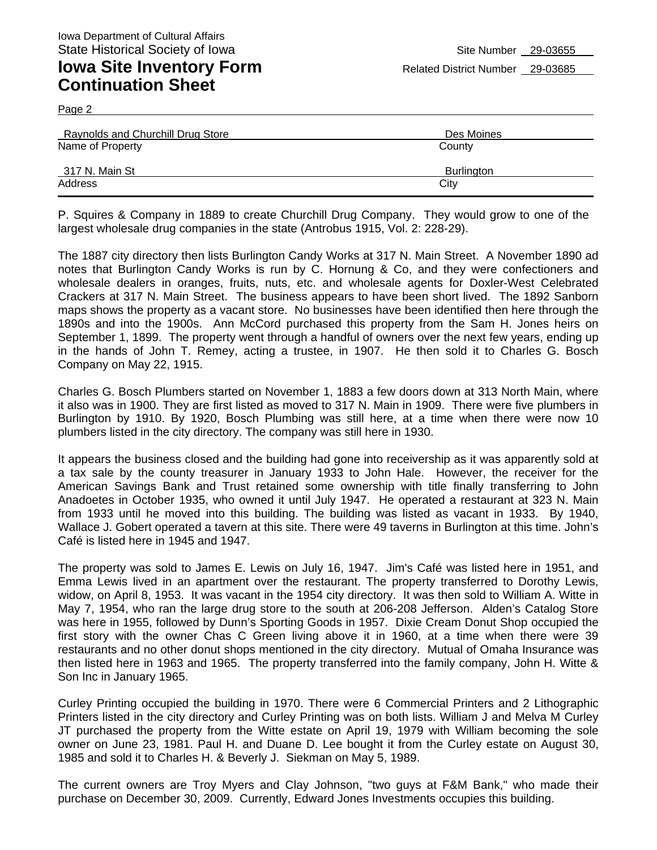Page 2

| <b>Raynolds and Churchill Drug Store</b> | Des Moines |
|------------------------------------------|------------|
| Name of Property                         | County     |
| 317 N. Main St                           | Burlington |
| Address                                  | City       |

P. Squires & Company in 1889 to create Churchill Drug Company. They would grow to one of the largest wholesale drug companies in the state (Antrobus 1915, Vol. 2: 228-29).

The 1887 city directory then lists Burlington Candy Works at 317 N. Main Street. A November 1890 ad notes that Burlington Candy Works is run by C. Hornung & Co, and they were confectioners and wholesale dealers in oranges, fruits, nuts, etc. and wholesale agents for Doxler-West Celebrated Crackers at 317 N. Main Street. The business appears to have been short lived. The 1892 Sanborn maps shows the property as a vacant store. No businesses have been identified then here through the 1890s and into the 1900s. Ann McCord purchased this property from the Sam H. Jones heirs on September 1, 1899. The property went through a handful of owners over the next few years, ending up in the hands of John T. Remey, acting a trustee, in 1907. He then sold it to Charles G. Bosch Company on May 22, 1915.

Charles G. Bosch Plumbers started on November 1, 1883 a few doors down at 313 North Main, where it also was in 1900. They are first listed as moved to 317 N. Main in 1909. There were five plumbers in Burlington by 1910. By 1920, Bosch Plumbing was still here, at a time when there were now 10 plumbers listed in the city directory. The company was still here in 1930.

It appears the business closed and the building had gone into receivership as it was apparently sold at a tax sale by the county treasurer in January 1933 to John Hale. However, the receiver for the American Savings Bank and Trust retained some ownership with title finally transferring to John Anadoetes in October 1935, who owned it until July 1947. He operated a restaurant at 323 N. Main from 1933 until he moved into this building. The building was listed as vacant in 1933. By 1940, Wallace J. Gobert operated a tavern at this site. There were 49 taverns in Burlington at this time. John's Café is listed here in 1945 and 1947.

The property was sold to James E. Lewis on July 16, 1947. Jim's Café was listed here in 1951, and Emma Lewis lived in an apartment over the restaurant. The property transferred to Dorothy Lewis, widow, on April 8, 1953. It was vacant in the 1954 city directory. It was then sold to William A. Witte in May 7, 1954, who ran the large drug store to the south at 206-208 Jefferson. Alden's Catalog Store was here in 1955, followed by Dunn's Sporting Goods in 1957. Dixie Cream Donut Shop occupied the first story with the owner Chas C Green living above it in 1960, at a time when there were 39 restaurants and no other donut shops mentioned in the city directory. Mutual of Omaha Insurance was then listed here in 1963 and 1965. The property transferred into the family company, John H. Witte & Son Inc in January 1965.

Curley Printing occupied the building in 1970. There were 6 Commercial Printers and 2 Lithographic Printers listed in the city directory and Curley Printing was on both lists. William J and Melva M Curley JT purchased the property from the Witte estate on April 19, 1979 with William becoming the sole owner on June 23, 1981. Paul H. and Duane D. Lee bought it from the Curley estate on August 30, 1985 and sold it to Charles H. & Beverly J. Siekman on May 5, 1989.

The current owners are Troy Myers and Clay Johnson, "two guys at F&M Bank," who made their purchase on December 30, 2009. Currently, Edward Jones Investments occupies this building.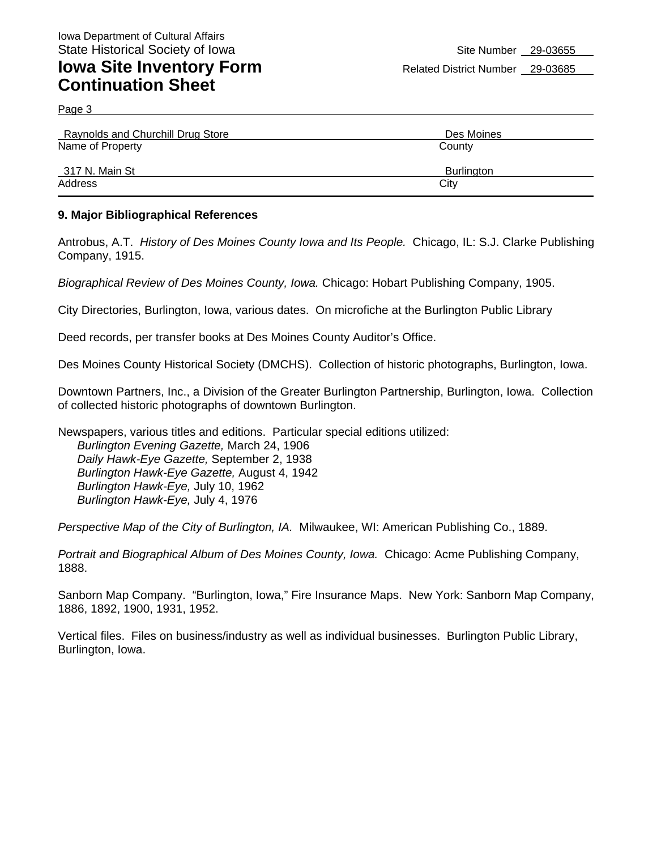Page 3

| <b>Raynolds and Churchill Drug Store</b> | Des Moines |
|------------------------------------------|------------|
| Name of Property                         | County     |
| 317 N. Main St                           | Burlington |
| Address                                  | City       |

#### **9. Major Bibliographical References**

Antrobus, A.T. *History of Des Moines County Iowa and Its People.* Chicago, IL: S.J. Clarke Publishing Company, 1915.

*Biographical Review of Des Moines County, Iowa.* Chicago: Hobart Publishing Company, 1905.

City Directories, Burlington, Iowa, various dates. On microfiche at the Burlington Public Library

Deed records, per transfer books at Des Moines County Auditor's Office.

Des Moines County Historical Society (DMCHS). Collection of historic photographs, Burlington, Iowa.

Downtown Partners, Inc., a Division of the Greater Burlington Partnership, Burlington, Iowa. Collection of collected historic photographs of downtown Burlington.

Newspapers, various titles and editions. Particular special editions utilized: *Burlington Evening Gazette,* March 24, 1906 *Daily Hawk-Eye Gazette,* September 2, 1938 *Burlington Hawk-Eye Gazette,* August 4, 1942 *Burlington Hawk-Eye,* July 10, 1962 *Burlington Hawk-Eye,* July 4, 1976

*Perspective Map of the City of Burlington, IA.* Milwaukee, WI: American Publishing Co., 1889.

*Portrait and Biographical Album of Des Moines County, Iowa.* Chicago: Acme Publishing Company, 1888.

Sanborn Map Company. "Burlington, Iowa," Fire Insurance Maps. New York: Sanborn Map Company, 1886, 1892, 1900, 1931, 1952.

Vertical files. Files on business/industry as well as individual businesses. Burlington Public Library, Burlington, Iowa.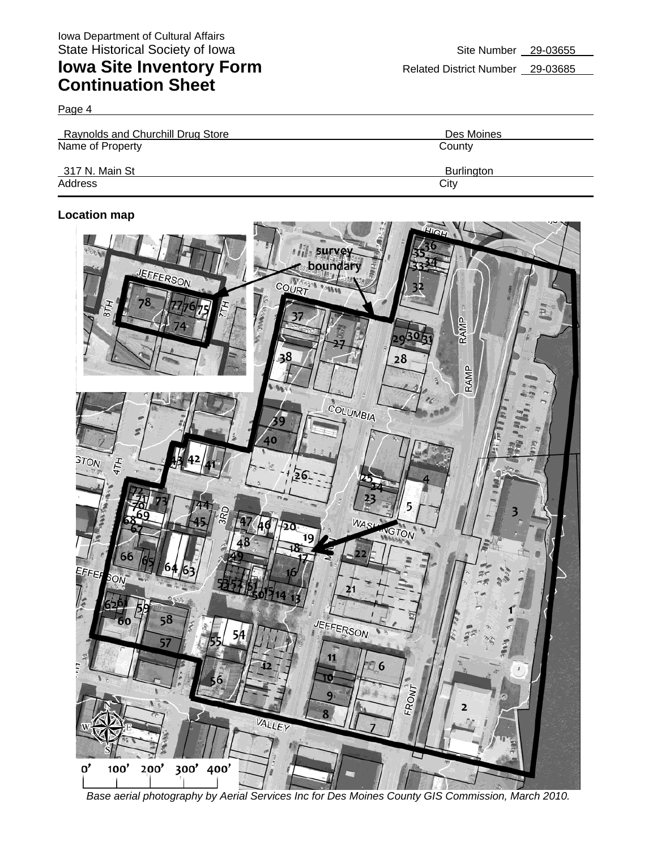Page 4

| Raynolds and Churchill Drug Store | Des Moines |
|-----------------------------------|------------|
| Name of Property                  | County     |
| 317 N. Main St                    | Burlington |
| Address                           | City       |

#### **Location map**



*Base aerial photography by Aerial Services Inc for Des Moines County GIS Commission, March 2010.*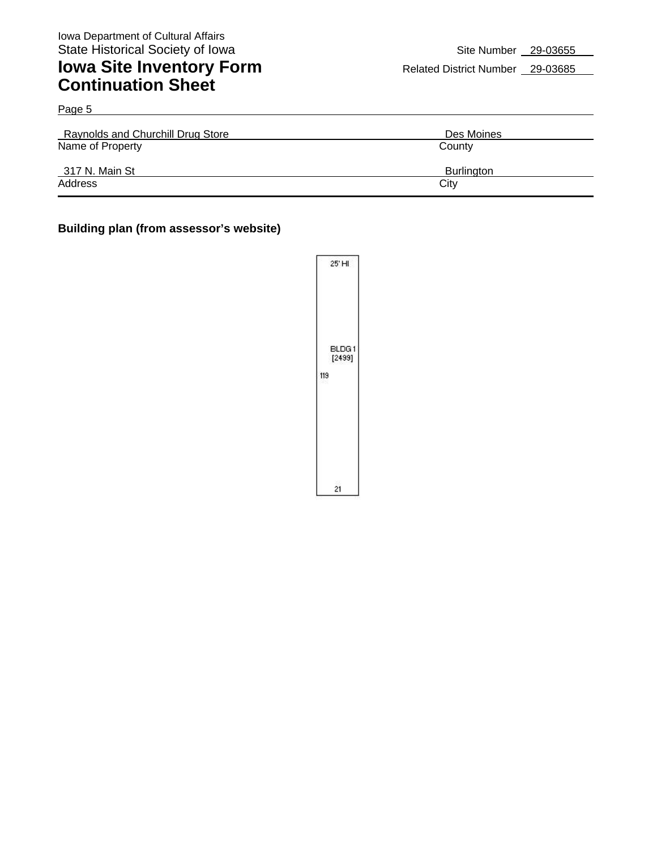| Page 5                                   |                   |
|------------------------------------------|-------------------|
| <b>Raynolds and Churchill Drug Store</b> | Des Moines        |
| Name of Property                         | County            |
| 317 N. Main St                           | <b>Burlington</b> |
| Address                                  | City              |

#### **Building plan (from assessor's website)**

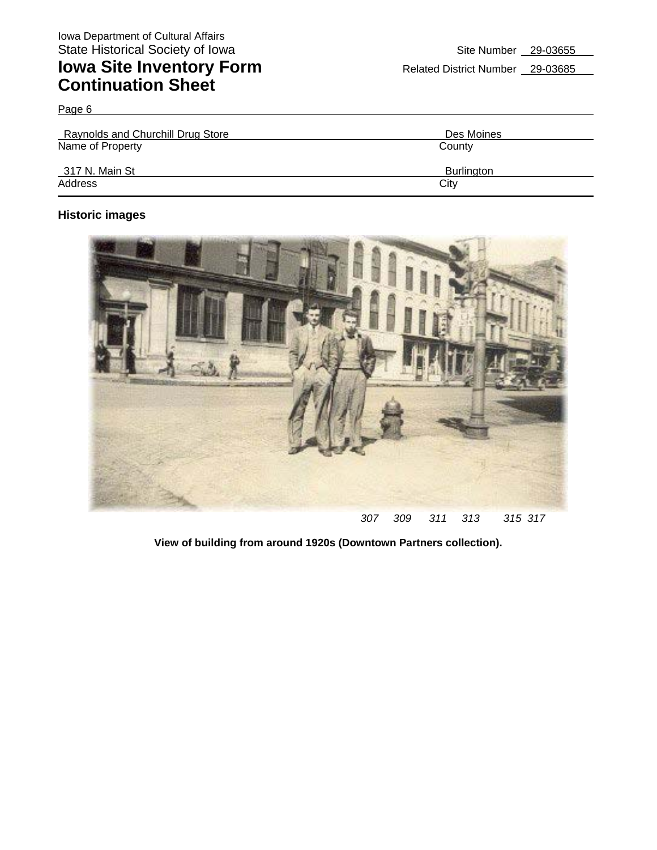Page 6

| Raynolds and Churchill Drug Store | Des Moines        |
|-----------------------------------|-------------------|
| Name of Property                  | County            |
| 317 N. Main St                    | <b>Burlington</b> |
| Address                           | City              |

### **Historic images**



**View of building from around 1920s (Downtown Partners collection).**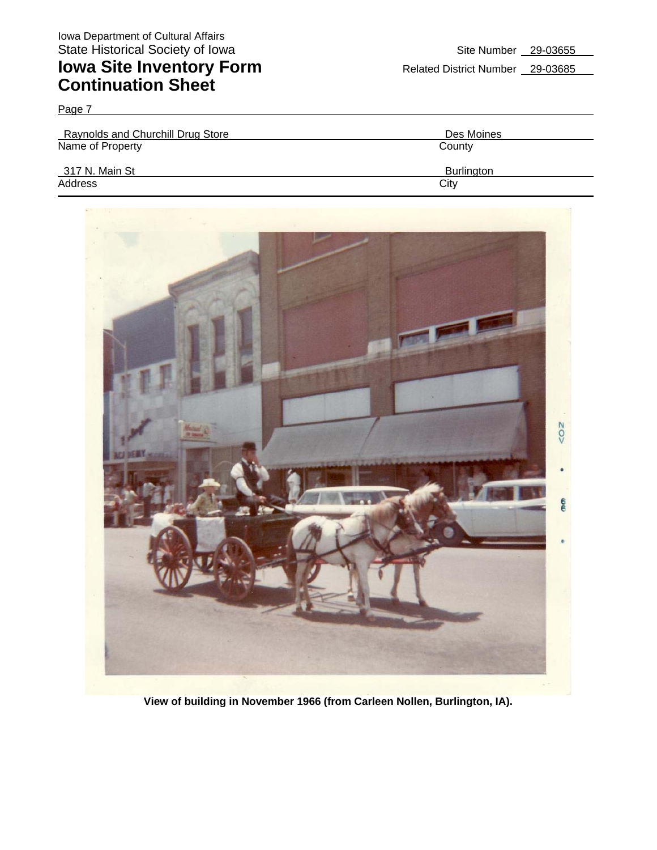Page 7

| <b>Raynolds and Churchill Drug Store</b> | Des Moines |
|------------------------------------------|------------|
| Name of Property                         | County     |
| 317 N. Main St                           | Burlington |
| Address                                  | City       |



**View of building in November 1966 (from Carleen Nollen, Burlington, IA).**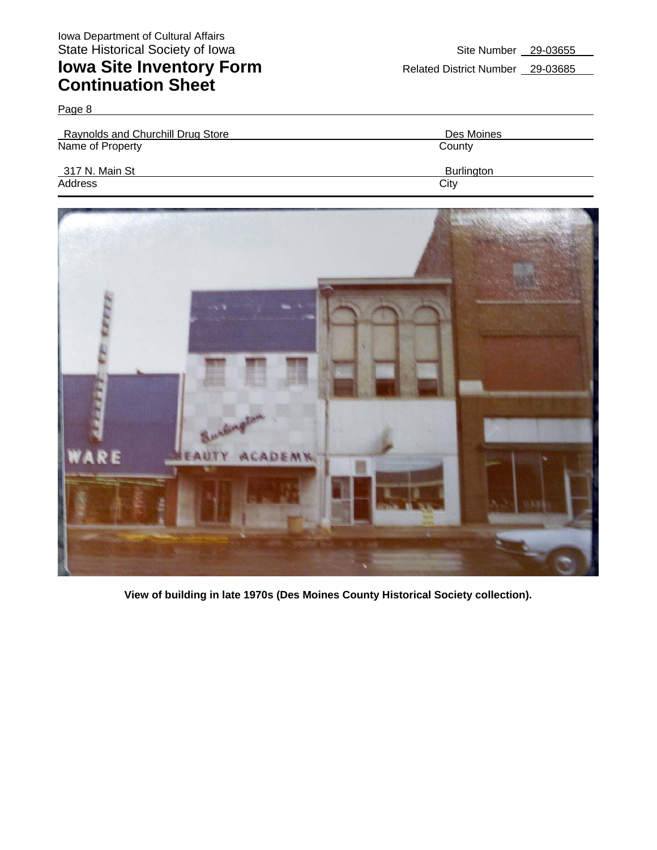Page 8

| <b>Raynolds and Churchill Drug Store</b> | Des Moines        |
|------------------------------------------|-------------------|
| Name of Property                         | County            |
| 317 N. Main St                           | <b>Burlington</b> |
| Address                                  | City              |



**View of building in late 1970s (Des Moines County Historical Society collection).**